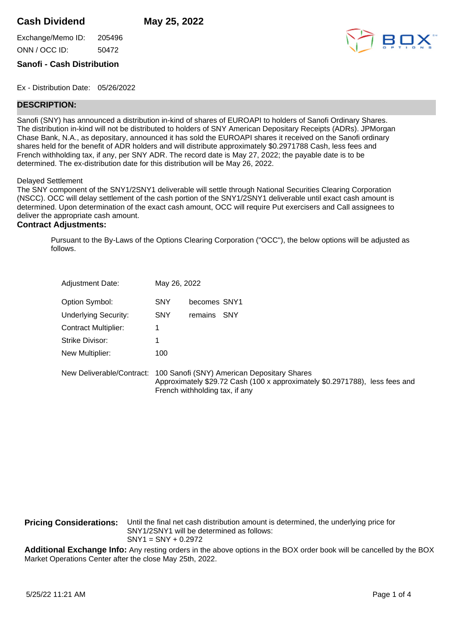## **Cash Dividend May 25, 2022**

Exchange/Memo ID: 205496 ONN / OCC ID: 50472



## **Sanofi - Cash Distribution**

Ex - Distribution Date: 05/26/2022

## **DESCRIPTION:**

Sanofi (SNY) has announced a distribution in-kind of shares of EUROAPI to holders of Sanofi Ordinary Shares. The distribution in-kind will not be distributed to holders of SNY American Depositary Receipts (ADRs). JPMorgan Chase Bank, N.A., as depositary, announced it has sold the EUROAPI shares it received on the Sanofi ordinary shares held for the benefit of ADR holders and will distribute approximately \$0.2971788 Cash, less fees and French withholding tax, if any, per SNY ADR. The record date is May 27, 2022; the payable date is to be determined. The ex-distribution date for this distribution will be May 26, 2022.

Delayed Settlement

The SNY component of the SNY1/2SNY1 deliverable will settle through National Securities Clearing Corporation (NSCC). OCC will delay settlement of the cash portion of the SNY1/2SNY1 deliverable until exact cash amount is determined. Upon determination of the exact cash amount, OCC will require Put exercisers and Call assignees to deliver the appropriate cash amount.

## **Contract Adjustments:**

Pursuant to the By-Laws of the Options Clearing Corporation ("OCC"), the below options will be adjusted as follows.

| <b>Adjustment Date:</b>     | May 26, 2022                                                                                                                                                 |
|-----------------------------|--------------------------------------------------------------------------------------------------------------------------------------------------------------|
| Option Symbol:              | <b>SNY</b><br>becomes SNY1                                                                                                                                   |
| <b>Underlying Security:</b> | <b>SNY</b><br>remains SNY                                                                                                                                    |
| <b>Contract Multiplier:</b> |                                                                                                                                                              |
| Strike Divisor:             |                                                                                                                                                              |
| New Multiplier:             | 100                                                                                                                                                          |
| New Deliverable/Contract:   | 100 Sanofi (SNY) American Depositary Shares<br>Approximately \$29.72 Cash (100 x approximately \$0.2971788), less fees and<br>French withholding tax, if any |

**Pricing Considerations:** Until the final net cash distribution amount is determined, the underlying price for SNY1/2SNY1 will be determined as follows: SNY1 = SNY + 0.2972

**Additional Exchange Info:** Any resting orders in the above options in the BOX order book will be cancelled by the BOX Market Operations Center after the close May 25th, 2022.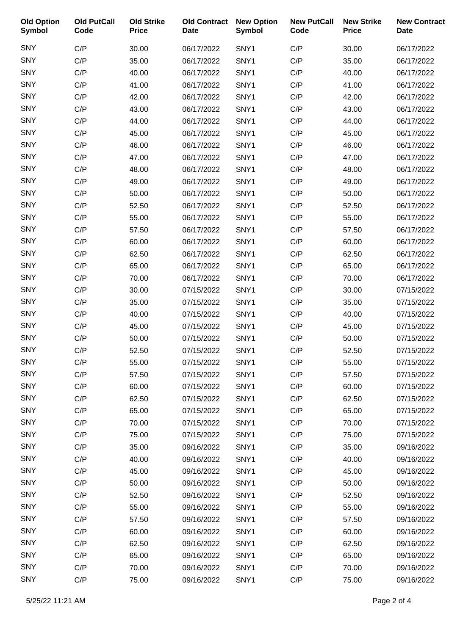| <b>Old Option</b><br>Symbol | <b>Old PutCall</b><br>Code | <b>Old Strike</b><br><b>Price</b> | <b>Old Contract</b><br><b>Date</b> | <b>New Option</b><br><b>Symbol</b> | <b>New PutCall</b><br>Code | <b>New Strike</b><br><b>Price</b> | <b>New Contract</b><br><b>Date</b> |
|-----------------------------|----------------------------|-----------------------------------|------------------------------------|------------------------------------|----------------------------|-----------------------------------|------------------------------------|
| <b>SNY</b>                  | C/P                        | 30.00                             | 06/17/2022                         | SNY1                               | C/P                        | 30.00                             | 06/17/2022                         |
| <b>SNY</b>                  | C/P                        | 35.00                             | 06/17/2022                         | SNY1                               | C/P                        | 35.00                             | 06/17/2022                         |
| <b>SNY</b>                  | C/P                        | 40.00                             | 06/17/2022                         | SNY1                               | C/P                        | 40.00                             | 06/17/2022                         |
| <b>SNY</b>                  | C/P                        | 41.00                             | 06/17/2022                         | SNY1                               | C/P                        | 41.00                             | 06/17/2022                         |
| SNY                         | C/P                        | 42.00                             | 06/17/2022                         | SNY1                               | C/P                        | 42.00                             | 06/17/2022                         |
| <b>SNY</b>                  | C/P                        | 43.00                             | 06/17/2022                         | SNY1                               | C/P                        | 43.00                             | 06/17/2022                         |
| <b>SNY</b>                  | C/P                        | 44.00                             | 06/17/2022                         | SNY1                               | C/P                        | 44.00                             | 06/17/2022                         |
| SNY                         | C/P                        | 45.00                             | 06/17/2022                         | SNY1                               | C/P                        | 45.00                             | 06/17/2022                         |
| <b>SNY</b>                  | C/P                        | 46.00                             | 06/17/2022                         | SNY1                               | C/P                        | 46.00                             | 06/17/2022                         |
| <b>SNY</b>                  | C/P                        | 47.00                             | 06/17/2022                         | SNY1                               | C/P                        | 47.00                             | 06/17/2022                         |
| <b>SNY</b>                  | C/P                        | 48.00                             | 06/17/2022                         | SNY1                               | C/P                        | 48.00                             | 06/17/2022                         |
| <b>SNY</b>                  | C/P                        | 49.00                             | 06/17/2022                         | SNY1                               | C/P                        | 49.00                             | 06/17/2022                         |
| <b>SNY</b>                  | C/P                        | 50.00                             | 06/17/2022                         | SNY1                               | C/P                        | 50.00                             | 06/17/2022                         |
| SNY                         | C/P                        | 52.50                             | 06/17/2022                         | SNY1                               | C/P                        | 52.50                             | 06/17/2022                         |
| <b>SNY</b>                  | C/P                        | 55.00                             | 06/17/2022                         | SNY1                               | C/P                        | 55.00                             | 06/17/2022                         |
| <b>SNY</b>                  | C/P                        | 57.50                             | 06/17/2022                         | SNY1                               | C/P                        | 57.50                             | 06/17/2022                         |
| SNY                         | C/P                        | 60.00                             | 06/17/2022                         | SNY1                               | C/P                        | 60.00                             | 06/17/2022                         |
| <b>SNY</b>                  | C/P                        | 62.50                             | 06/17/2022                         | SNY1                               | C/P                        | 62.50                             | 06/17/2022                         |
| <b>SNY</b>                  | C/P                        | 65.00                             | 06/17/2022                         | SNY1                               | C/P                        | 65.00                             | 06/17/2022                         |
| <b>SNY</b>                  | C/P                        | 70.00                             | 06/17/2022                         | SNY1                               | C/P                        | 70.00                             | 06/17/2022                         |
| <b>SNY</b>                  | C/P                        | 30.00                             | 07/15/2022                         | SNY1                               | C/P                        | 30.00                             | 07/15/2022                         |
| <b>SNY</b>                  | C/P                        | 35.00                             | 07/15/2022                         | SNY1                               | C/P                        | 35.00                             | 07/15/2022                         |
| <b>SNY</b>                  | C/P                        | 40.00                             | 07/15/2022                         | SNY1                               | C/P                        | 40.00                             | 07/15/2022                         |
| <b>SNY</b>                  | C/P                        | 45.00                             | 07/15/2022                         | SNY1                               | C/P                        | 45.00                             | 07/15/2022                         |
| <b>SNY</b>                  | C/P                        | 50.00                             | 07/15/2022                         | SNY1                               | C/P                        | 50.00                             | 07/15/2022                         |
| <b>SNY</b>                  | C/P                        | 52.50                             | 07/15/2022                         | SNY1                               | C/P                        | 52.50                             | 07/15/2022                         |
| <b>SNY</b>                  | C/P                        | 55.00                             | 07/15/2022                         | SNY1                               | C/P                        | 55.00                             | 07/15/2022                         |
| <b>SNY</b>                  | C/P                        | 57.50                             | 07/15/2022                         | SNY1                               | C/P                        | 57.50                             | 07/15/2022                         |
| <b>SNY</b>                  | C/P                        | 60.00                             | 07/15/2022                         | SNY1                               | C/P                        | 60.00                             | 07/15/2022                         |
| <b>SNY</b>                  | C/P                        | 62.50                             | 07/15/2022                         | SNY1                               | C/P                        | 62.50                             | 07/15/2022                         |
| <b>SNY</b>                  | C/P                        | 65.00                             | 07/15/2022                         | SNY1                               | C/P                        | 65.00                             | 07/15/2022                         |
| <b>SNY</b>                  | C/P                        | 70.00                             | 07/15/2022                         | SNY1                               | C/P                        | 70.00                             | 07/15/2022                         |
| <b>SNY</b>                  | C/P                        | 75.00                             | 07/15/2022                         | SNY1                               | C/P                        | 75.00                             | 07/15/2022                         |
| <b>SNY</b>                  | C/P                        | 35.00                             | 09/16/2022                         | SNY1                               | C/P                        | 35.00                             | 09/16/2022                         |
| <b>SNY</b>                  | C/P                        | 40.00                             | 09/16/2022                         | SNY1                               | C/P                        | 40.00                             | 09/16/2022                         |
| <b>SNY</b>                  | C/P                        | 45.00                             | 09/16/2022                         | SNY1                               | C/P                        | 45.00                             | 09/16/2022                         |
| <b>SNY</b>                  | C/P                        | 50.00                             | 09/16/2022                         | SNY1                               | C/P                        | 50.00                             | 09/16/2022                         |
| <b>SNY</b>                  | C/P                        | 52.50                             | 09/16/2022                         | SNY1                               | C/P                        | 52.50                             | 09/16/2022                         |
| <b>SNY</b>                  | C/P                        | 55.00                             | 09/16/2022                         | SNY1                               | C/P                        | 55.00                             | 09/16/2022                         |
| <b>SNY</b>                  | C/P                        | 57.50                             | 09/16/2022                         | SNY1                               | C/P                        | 57.50                             | 09/16/2022                         |
| <b>SNY</b>                  | C/P                        | 60.00                             | 09/16/2022                         | SNY1                               | C/P                        | 60.00                             | 09/16/2022                         |
| <b>SNY</b>                  | C/P                        | 62.50                             | 09/16/2022                         | SNY1                               | C/P                        | 62.50                             | 09/16/2022                         |
| <b>SNY</b>                  | C/P                        | 65.00                             | 09/16/2022                         | SNY1                               | C/P                        | 65.00                             | 09/16/2022                         |
| <b>SNY</b>                  | C/P                        | 70.00                             | 09/16/2022                         | SNY1                               | C/P                        | 70.00                             | 09/16/2022                         |
| <b>SNY</b>                  | C/P                        | 75.00                             | 09/16/2022                         | SNY1                               | C/P                        | 75.00                             | 09/16/2022                         |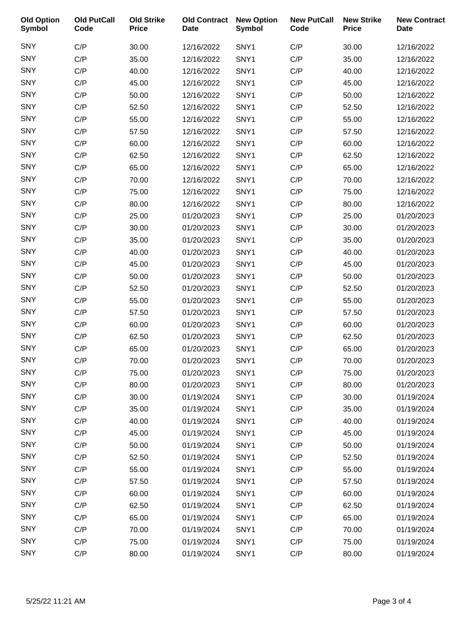| <b>Old Option</b><br><b>Symbol</b> | <b>Old PutCall</b><br>Code | <b>Old Strike</b><br><b>Price</b> | <b>Old Contract</b><br><b>Date</b> | <b>New Option</b><br><b>Symbol</b> | <b>New PutCall</b><br>Code | <b>New Strike</b><br><b>Price</b> | <b>New Contract</b><br><b>Date</b> |
|------------------------------------|----------------------------|-----------------------------------|------------------------------------|------------------------------------|----------------------------|-----------------------------------|------------------------------------|
| <b>SNY</b>                         | C/P                        | 30.00                             | 12/16/2022                         | SNY1                               | C/P                        | 30.00                             | 12/16/2022                         |
| SNY                                | C/P                        | 35.00                             | 12/16/2022                         | SNY1                               | C/P                        | 35.00                             | 12/16/2022                         |
| <b>SNY</b>                         | C/P                        | 40.00                             | 12/16/2022                         | SNY1                               | C/P                        | 40.00                             | 12/16/2022                         |
| <b>SNY</b>                         | C/P                        | 45.00                             | 12/16/2022                         | SNY1                               | C/P                        | 45.00                             | 12/16/2022                         |
| SNY                                | C/P                        | 50.00                             | 12/16/2022                         | SNY1                               | C/P                        | 50.00                             | 12/16/2022                         |
| SNY                                | C/P                        | 52.50                             | 12/16/2022                         | SNY1                               | C/P                        | 52.50                             | 12/16/2022                         |
| <b>SNY</b>                         | C/P                        | 55.00                             | 12/16/2022                         | SNY1                               | C/P                        | 55.00                             | 12/16/2022                         |
| SNY                                | C/P                        | 57.50                             | 12/16/2022                         | SNY1                               | C/P                        | 57.50                             | 12/16/2022                         |
| <b>SNY</b>                         | C/P                        | 60.00                             | 12/16/2022                         | SNY1                               | C/P                        | 60.00                             | 12/16/2022                         |
| <b>SNY</b>                         | C/P                        | 62.50                             | 12/16/2022                         | SNY1                               | C/P                        | 62.50                             | 12/16/2022                         |
| SNY                                | C/P                        | 65.00                             | 12/16/2022                         | SNY1                               | C/P                        | 65.00                             | 12/16/2022                         |
| <b>SNY</b>                         | C/P                        | 70.00                             | 12/16/2022                         | SNY1                               | C/P                        | 70.00                             | 12/16/2022                         |
| <b>SNY</b>                         | C/P                        | 75.00                             | 12/16/2022                         | SNY1                               | C/P                        | 75.00                             | 12/16/2022                         |
| SNY                                | C/P                        | 80.00                             | 12/16/2022                         | SNY1                               | C/P                        | 80.00                             | 12/16/2022                         |
| SNY                                | C/P                        | 25.00                             | 01/20/2023                         | SNY1                               | C/P                        | 25.00                             | 01/20/2023                         |
| <b>SNY</b>                         | C/P                        | 30.00                             | 01/20/2023                         | SNY1                               | C/P                        | 30.00                             | 01/20/2023                         |
| SNY                                | C/P                        | 35.00                             | 01/20/2023                         | SNY1                               | C/P                        | 35.00                             | 01/20/2023                         |
| <b>SNY</b>                         | C/P                        | 40.00                             | 01/20/2023                         | SNY1                               | C/P                        | 40.00                             | 01/20/2023                         |
| <b>SNY</b>                         | C/P                        | 45.00                             | 01/20/2023                         | SNY1                               | C/P                        | 45.00                             | 01/20/2023                         |
| SNY                                | C/P                        | 50.00                             | 01/20/2023                         | SNY1                               | C/P                        | 50.00                             | 01/20/2023                         |
| <b>SNY</b>                         | C/P                        | 52.50                             | 01/20/2023                         | SNY1                               | C/P                        | 52.50                             | 01/20/2023                         |
| <b>SNY</b>                         | C/P                        | 55.00                             | 01/20/2023                         | SNY1                               | C/P                        | 55.00                             | 01/20/2023                         |
| SNY                                | C/P                        | 57.50                             | 01/20/2023                         | SNY1                               | C/P                        | 57.50                             | 01/20/2023                         |
| <b>SNY</b>                         | C/P                        | 60.00                             | 01/20/2023                         | SNY1                               | C/P                        | 60.00                             | 01/20/2023                         |
| <b>SNY</b>                         | C/P                        | 62.50                             | 01/20/2023                         | SNY1                               | C/P                        | 62.50                             | 01/20/2023                         |
| SNY                                | C/P                        | 65.00                             | 01/20/2023                         | SNY1                               | C/P                        | 65.00                             | 01/20/2023                         |
| <b>SNY</b>                         | C/P                        | 70.00                             | 01/20/2023                         | SNY1                               | C/P                        | 70.00                             | 01/20/2023                         |
| <b>SNY</b>                         | C/P                        | 75.00                             | 01/20/2023                         | SNY1                               | C/P                        | 75.00                             | 01/20/2023                         |
| <b>SNY</b>                         | C/P                        | 80.00                             | 01/20/2023                         | SNY1                               | C/P                        | 80.00                             | 01/20/2023                         |
| <b>SNY</b>                         | C/P                        | 30.00                             | 01/19/2024                         | SNY1                               | C/P                        | 30.00                             | 01/19/2024                         |
| <b>SNY</b>                         | C/P                        | 35.00                             | 01/19/2024                         | SNY1                               | C/P                        | 35.00                             | 01/19/2024                         |
| <b>SNY</b>                         | C/P                        | 40.00                             | 01/19/2024                         | SNY1                               | C/P                        | 40.00                             | 01/19/2024                         |
| <b>SNY</b>                         | C/P                        | 45.00                             | 01/19/2024                         | SNY1                               | C/P                        | 45.00                             | 01/19/2024                         |
| <b>SNY</b>                         | C/P                        | 50.00                             | 01/19/2024                         | SNY1                               | C/P                        | 50.00                             | 01/19/2024                         |
| <b>SNY</b>                         | C/P                        | 52.50                             | 01/19/2024                         | SNY1                               | C/P                        | 52.50                             | 01/19/2024                         |
| <b>SNY</b>                         | C/P                        | 55.00                             | 01/19/2024                         | SNY1                               | C/P                        | 55.00                             | 01/19/2024                         |
| <b>SNY</b>                         | C/P                        | 57.50                             | 01/19/2024                         | SNY1                               | C/P                        | 57.50                             | 01/19/2024                         |
| <b>SNY</b>                         | C/P                        | 60.00                             | 01/19/2024                         | SNY1                               | C/P                        | 60.00                             | 01/19/2024                         |
| <b>SNY</b>                         | C/P                        | 62.50                             | 01/19/2024                         | SNY1                               | C/P                        | 62.50                             | 01/19/2024                         |
| <b>SNY</b>                         | C/P                        | 65.00                             | 01/19/2024                         | SNY1                               | C/P                        | 65.00                             | 01/19/2024                         |
| <b>SNY</b>                         | C/P                        | 70.00                             | 01/19/2024                         | SNY1                               | C/P                        | 70.00                             | 01/19/2024                         |
| <b>SNY</b>                         | C/P                        | 75.00                             | 01/19/2024                         | SNY1                               | C/P                        | 75.00                             | 01/19/2024                         |
| <b>SNY</b>                         | C/P                        | 80.00                             | 01/19/2024                         | SNY1                               | C/P                        | 80.00                             | 01/19/2024                         |